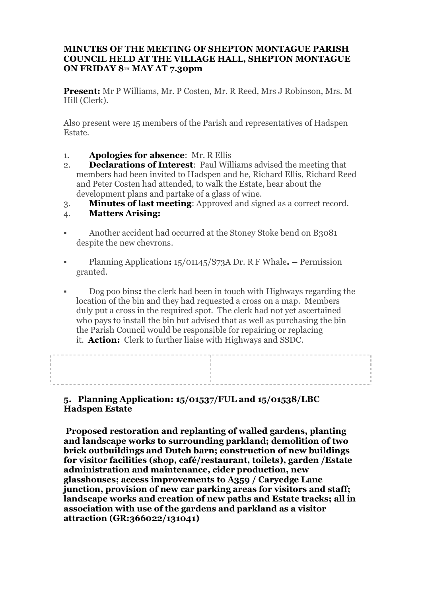## **MINUTES OF THE MEETING OF SHEPTON MONTAGUE PARISH COUNCIL HELD AT THE VILLAGE HALL, SHEPTON MONTAGUE ON FRIDAY 8TH MAY AT 7.30pm**

**Present:** Mr P Williams, Mr. P Costen, Mr. R Reed, Mrs J Robinson, Mrs. M Hill (Clerk).

Also present were 15 members of the Parish and representatives of Hadspen Estate.

- 1. **Apologies for absence**: Mr. R Ellis
- 2. **Declarations of Interest**: Paul Williams advised the meeting that members had been invited to Hadspen and he, Richard Ellis, Richard Reed and Peter Costen had attended, to walk the Estate, hear about the development plans and partake of a glass of wine.
- 3. **Minutes of last meeting**: Approved and signed as a correct record.

## 4. **Matters Arising:**

- § Another accident had occurred at the Stoney Stoke bend on B3081 despite the new chevrons.
- § Planning Application**:** 15/01145/S73A Dr. R F Whale**. –** Permission granted.
- § Dog poo bins**:** the clerk had been in touch with Highways regarding the location of the bin and they had requested a cross on a map. Members duly put a cross in the required spot. The clerk had not yet ascertained who pays to install the bin but advised that as well as purchasing the bin the Parish Council would be responsible for repairing or replacing it. **Action:** Clerk to further liaise with Highways and SSDC.

\_\_\_\_\_\_\_\_\_\_\_\_\_\_\_\_\_\_\_\_\_\_\_\_\_\_\_\_\_\_ the contract of the contract of the contract of the contract of the contract of the contract of the contract of

**5. Planning Application: 15/01537/FUL and 15/01538/LBC Hadspen Estate**

 **Proposed restoration and replanting of walled gardens, planting and landscape works to surrounding parkland; demolition of two brick outbuildings and Dutch barn; construction of new buildings for visitor facilities (shop, café/restaurant, toilets), garden /Estate administration and maintenance, cider production, new glasshouses; access improvements to A359 / Caryedge Lane junction, provision of new car parking areas for visitors and staff; landscape works and creation of new paths and Estate tracks; all in association with use of the gardens and parkland as a visitor attraction (GR:366022/131041)**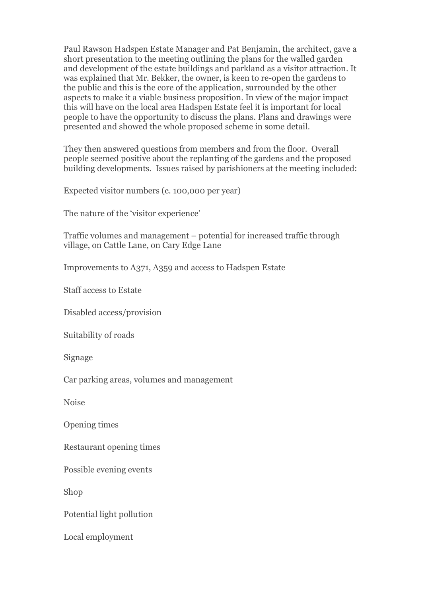Paul Rawson Hadspen Estate Manager and Pat Benjamin, the architect, gave a short presentation to the meeting outlining the plans for the walled garden and development of the estate buildings and parkland as a visitor attraction. It was explained that Mr. Bekker, the owner, is keen to re-open the gardens to the public and this is the core of the application, surrounded by the other aspects to make it a viable business proposition. In view of the major impact this will have on the local area Hadspen Estate feel it is important for local people to have the opportunity to discuss the plans. Plans and drawings were presented and showed the whole proposed scheme in some detail.

They then answered questions from members and from the floor. Overall people seemed positive about the replanting of the gardens and the proposed building developments. Issues raised by parishioners at the meeting included:

Expected visitor numbers (c. 100,000 per year)

The nature of the 'visitor experience'

Traffic volumes and management – potential for increased traffic through village, on Cattle Lane, on Cary Edge Lane

Improvements to A371, A359 and access to Hadspen Estate

Staff access to Estate

Disabled access/provision

Suitability of roads

Signage

Car parking areas, volumes and management

Noise

Opening times

Restaurant opening times

Possible evening events

Shop

Potential light pollution

Local employment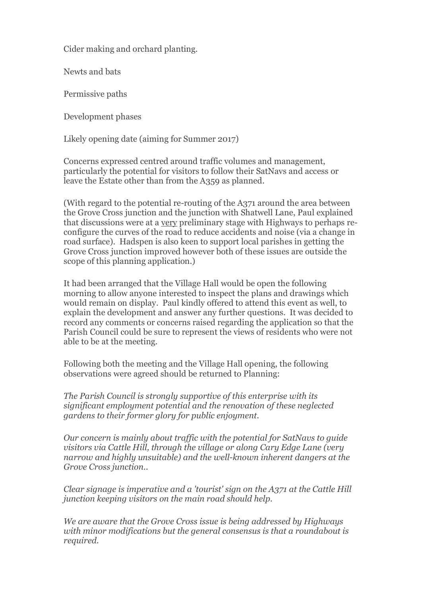Cider making and orchard planting.

Newts and bats

Permissive paths

Development phases

Likely opening date (aiming for Summer 2017)

Concerns expressed centred around traffic volumes and management, particularly the potential for visitors to follow their SatNavs and access or leave the Estate other than from the A359 as planned.

(With regard to the potential re-routing of the A371 around the area between the Grove Cross junction and the junction with Shatwell Lane, Paul explained that discussions were at a very preliminary stage with Highways to perhaps reconfigure the curves of the road to reduce accidents and noise (via a change in road surface). Hadspen is also keen to support local parishes in getting the Grove Cross junction improved however both of these issues are outside the scope of this planning application.)

It had been arranged that the Village Hall would be open the following morning to allow anyone interested to inspect the plans and drawings which would remain on display. Paul kindly offered to attend this event as well, to explain the development and answer any further questions. It was decided to record any comments or concerns raised regarding the application so that the Parish Council could be sure to represent the views of residents who were not able to be at the meeting.

Following both the meeting and the Village Hall opening, the following observations were agreed should be returned to Planning:

*The Parish Council is strongly supportive of this enterprise with its significant employment potential and the renovation of these neglected gardens to their former glory for public enjoyment.*

*Our concern is mainly about traffic with the potential for SatNavs to guide visitors via Cattle Hill, through the village or along Cary Edge Lane (very narrow and highly unsuitable) and the well-known inherent dangers at the Grove Cross junction..*

*Clear signage is imperative and a 'tourist' sign on the A371 at the Cattle Hill junction keeping visitors on the main road should help.*

*We are aware that the Grove Cross issue is being addressed by Highways with minor modifications but the general consensus is that a roundabout is required.*